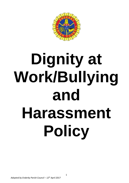

# **Dignity at Work/Bullying and Harassment Policy**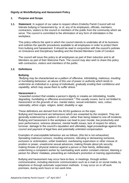# **Dignity at Work/Bullying and Harassment Policy**

## **1. Purpose and Scope**

**1.1. Statement**: In support of our value to respect others Enderby Parish Council will not tolerate bullying or harassment by, or of, any of its employees, officials, members, contractors, visitors to the council or members of the public from the community which we serve. The council is committed to the elimination of any form of intimidation in the workplace.

This policy reflects the spirit in which the council intends to undertake all of its business and outlines the specific procedures available to all employees in order to protect them from bullying and harassment. It should be read in conjunction with the council's policies on Grievance and Disciplinary handling and the Elected Members Code of Conduct.

The council will issue this policy to all employees as part of their induction and to all Members as part of their Welcome Pack. The council may also wish to share this policy with contractors, visitors and members of the public.

### **1.2. Definitions**

### **Bullying**

*"Bullying may be characterised as a pattern of offensive, intimidating, malicious, insulting or humiliating behaviour; an abuse of this use of power or authority which tends to undermine an individual or a group of individuals, gradually eroding their confidence and capability, which may cause them to suffer stress."* 

### **Harassment** is

*"unwanted conduct that violates a person's dignity or creates an intimidating, hostile, degrading, humiliating or offensive environment." This usually covers, but is not limited to, harassment on the grounds of sex, marital status, sexual orientation, race, colour, nationality, ethnic origin, religion, belief, disability or age.* 

These definitions are derived from the ACAS guidance on the topic.

Bullying and Harassment are behaviours which are unwanted by the recipient. They are generally evidenced by a pattern of conduct, rather than being related to one-off incidents. Bullying and harassment in the workplace can lead to poor morale, low productivity and poor performance, sickness absence, mental health issues, lack of respect for others, turnover, damage to the council's reputation and ultimately, legal proceedings against the council and payment of legal fees and potentially unlimited compensation.

Examples of unacceptable behaviour are as follows; (this list is not exhaustive) Spreading malicious rumours, insulting someone, ridiculing or demeaning someone, exclusion or victimisation, unfair treatment, overbearing supervision or other misuse of position or power, unwelcome sexual advances, making threats about job security, making threats of physical violence against a person or their family, deliberately undermining a competent worker by overloading work and/or constant criticism, blaming a person for others' mistakes, preventing an individual's promotion or training opportunities.

Bullying and harassment may occur face-to-face, in meetings, through written communication, including electronic communication such as e-mail or on social media, by telephone or through automatic supervision methods. It may occur on or off work premises, during work hours or non-work time.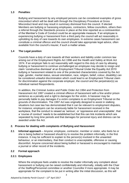## **1.3 Penalties**:

Bullying and harassment by any employed persons can be considered examples of gross misconduct which will be dealt with through the Disciplinary Procedure at Gross Misconduct level and may result in summary dismissal from the council. If elected Members are bullying or harassing employees, contractors, fellow councillors, others then a referral through the Standards process in place at the time reported as a contravention of the Member's Code of Conduct could be an appropriate measure. If an employee is experiencing bullying or harassment from a third party the council will act reasonably in upholding its duty of care towards its own employees. In extreme cases harassment can constitute a criminal offence and the council should take appropriate legal advice, often available from the council's insurer, if such a matter arises.

# **1.4 The Legal position**:

Councils have a duty of care towards all their workers and liability under common law arising out of the Employment Rights Act 1996 and the Health and Safety at Work Act 1974. If an employer fails to act reasonably with regard to this duty of care by allowing bullying or harassment to continue unchallenged an employee may decide to resign and claim 'constructive dismissal' at an Employment Tribunal Under the Equality Act 2010 bullying or harassment related to one of the protected characteristics covered by the Act (age, gender, marital status, sexual orientation, race, religion, belief, colour, disability) can be considered unlawful discrimination which could lead to an Employment Tribunal claim for discrimination against the corporate employer, the council and the perpetrator(s) as individual named Respondents.

In addition, the Criminal Justice and Public Order Act 1994 and Protection from Harassment Act 1997 created a criminal offence of harassment with a fine and/or prison sentence as a penalty and a right to damages for the victim. A harasser may be personally liable to pay damages if a victim complains to an Employment Tribunal on the grounds of discrimination. The 1997 Act was originally designed to assist in stalking situations but case law has demonstrated that it can be relevant to employment disputes, for instance; employers can be vicariously liable for harassment received in the workplace, that the conduct is viewed as 'serious', or 'oppressive and unacceptable', that a 'course of conduct' needs to be established but that this can link incidents which are separated by long time periods and that damages for personal injury and distress can be awarded under the Act.

# **2. Process for dealing with complaints of Bullying and Harassment**

**2.1 Informal approach** – Anyone; employee, contractor, member or visitor, who feels he or she is being bullied or harassed should try to resolve the problem informally, in the first instance. It may be sufficient to explain to the person(s) involved in the unwanted behaviour, or an intermediary, that their conduct is unacceptable, offensive or causing discomfort. Anyone concerned about being bullied or harassed is encouraged to maintain a journal or other record of the incidents.

# **2.2 Formal approach**

# **2.2.1 Employees**

Where the employee feels unable to resolve the matter informally any complaint about harassment or bullying can be raised confidentially and informally, initially with the Chair of the Staffing/Personnel committee or another Councillor if more appropriate. It may be appropriate for the complaint to be put in writing after the initial discussion, as this will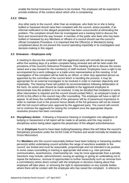enable the formal Grievance Procedure to be invoked. The employee will be expected to provide evidence of the conduct about which s/he is complaining.

### **2.2.2 Others**

Any other party to the council, other than an employee, who feels he or she is being bullied or harassed should raise their complaint with the council, where possible, if an informal notification to the alleged perpetrator has been unsuccessful at eliminating the problem. The complaint should then be investigated and a meeting held to discuss the facts and recommend the way forward. A member of the public who feels s/he has been bullied or harassed by any Members or officers of a council should use the council's official Complaints Procedure. It is important that the Officer(s) or Member(s) being complained about do not prevent the council operating impartially in its investigation and decision-making in this regard.

### **2.3 Grievance – Employees only**

A meeting to discuss the complaint with the aggrieved party will normally be arranged within five working days of a written complaint being received and will be held under the provisions of the council's Grievance Procedure. This meeting will be to discuss the issues raised and a way forward for the member(s) of staff involved. Employees have a right to be accompanied by a work colleague or a trade union representative at this meeting. A full investigation of the complaint will be held by an officer, or other duly appointed person as appointed by the committee of the council which is handling the process. It may be appropriate for an external investigator to be involved in order to maintain objectivity and impartiality. The Hearing Panel will publish its recommendations following deliberation of the facts. An action plan should be made available to the aggrieved employee to demonstrate how the problem is to be resolved. It may be decided that mediation or some other intervention is required and the council should contact NALC, an employer's body or ACAS to this effect or the council may offer counselling. The employee will have a right of appeal. At all times the confidentiality of the grievance will be of paramount importance in order to maintain trust in the process hence details of the full grievance will not be shared with the full council without prior approval by the aggrieved party. The council will commit not to victimize the aggrieved for raising the complaint once the appropriate dispute resolution process has been concluded.

**2.4 Disciplinary Action** - Following a Grievance Hearing or investigation into allegations of bullying or harassment a full report will be made to all parties and this may result in disciplinary action being taken against the perpetrator of the alleged action/behaviour.

For an **Employee** found to have been bullying/harassing others this will follow the council's Disciplinary procedure under the ACAS Code of Practice and would normally be treated as Gross Misconduct.

For **Members** who the council reasonably believe have been bullying or harassing another person(s) whilst undertaking council activities the range of sanctions available to the council, are limited and must be reasonable, proportionate and not intended to be punitive. In some cases counselling or training in appropriate skill areas e.g. inter-personal communication, assertiveness, chairmanship etc. may be more appropriate than a penalty. Sanctions may include; admonishment, issuing an apology or giving an undertaking not to repeat the behaviour, removal of opportunities to further harass/bully such as removal from a committee(s) where direct contact with the employee or decision-making about that employee will take place, or removing the right to representation on any outside bodies where there will be contact with the employee who has raised the complaint. A referral to